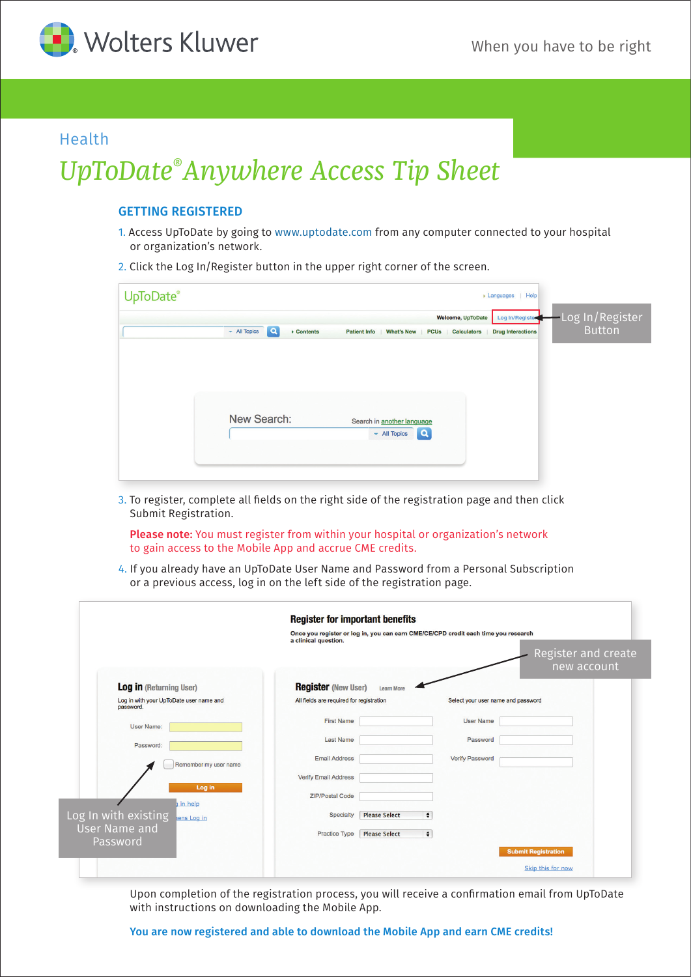

## Health

# *UpToDate® Anywhere Access Tip Sheet*

### GETTING REGISTERED

- 1. Access UpToDate by going to www.uptodate.com from any computer connected to your hospital or organization's network.
- 2. Click the Log In/Register button in the upper right corner of the screen.

| UpToDate® | $\blacktriangleright$ Languages<br>Help                                                                                                                                                                                                    |
|-----------|--------------------------------------------------------------------------------------------------------------------------------------------------------------------------------------------------------------------------------------------|
|           | -Log In/Register<br>Welcome, UpToDate<br>Log In/Register<br><b>Button</b><br><b>Q</b><br>$-$ All Topics<br>$\triangleright$ Contents<br><b>Patient Info</b><br>What's New<br><b>PCUs</b><br><b>Calculators</b><br><b>Drug Interactions</b> |
|           |                                                                                                                                                                                                                                            |
|           | New Search:<br>Search in another language<br>$\alpha$<br>$\div$ All Topics                                                                                                                                                                 |
|           |                                                                                                                                                                                                                                            |

3. To register, complete all fields on the right side of the registration page and then click Submit Registration.

Please note: You must register from within your hospital or organization's network to gain access to the Mobile App and accrue CME credits.

4. If you already have an UpToDate User Name and Password from a Personal Subscription or a previous access, log in on the left side of the registration page.

|                                                      | <b>Register for important benefits</b>          |                                                                                    |                     |
|------------------------------------------------------|-------------------------------------------------|------------------------------------------------------------------------------------|---------------------|
|                                                      |                                                 | Once you register or log in, you can earn CME/CE/CPD credit each time you research |                     |
|                                                      | a clinical question.                            |                                                                                    |                     |
|                                                      |                                                 |                                                                                    | Register and create |
|                                                      |                                                 |                                                                                    | new account         |
|                                                      |                                                 |                                                                                    |                     |
| <b>Log in (Returning User)</b>                       | <b>Register</b> (New User)<br><b>Learn More</b> |                                                                                    |                     |
| Log in with your UpToDate user name and<br>password. | All fields are required for registration        | Select your user name and password                                                 |                     |
| <b>User Name:</b>                                    | <b>First Name</b>                               | <b>User Name</b>                                                                   |                     |
| Password:                                            | <b>Last Name</b>                                | Password                                                                           |                     |
| Remember my user name                                | <b>Email Address</b>                            | <b>Verify Password</b>                                                             |                     |
| Log in                                               | <b>Verify Email Address</b>                     |                                                                                    |                     |
| in help                                              | <b>ZIP/Postal Code</b>                          |                                                                                    |                     |
| Log In with existing<br>ens Log in                   | Specialty<br><b>Please Select</b>               | $\div$                                                                             |                     |
| <b>User Name and</b>                                 | Practice Type<br><b>Please Select</b>           | $\div$                                                                             |                     |
| Password                                             |                                                 | <b>Submit Registration</b>                                                         |                     |
|                                                      |                                                 |                                                                                    | Skip this for now   |

Upon completion of the registration process, you will receive a confirmation email from UpToDate with instructions on downloading the Mobile App.